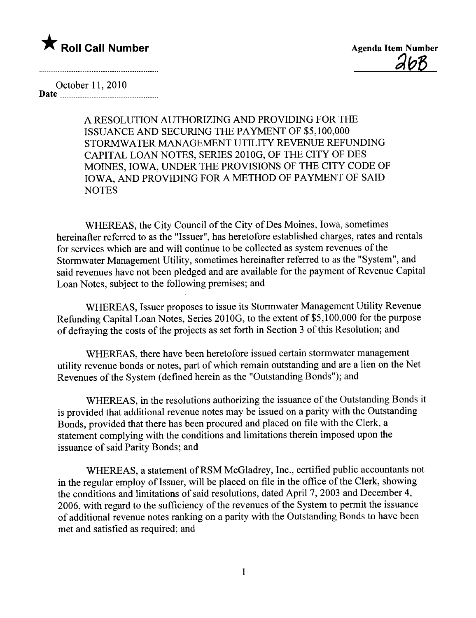

 $2bR$ 

October 11,2010 Date

> A RESOLUTION AUTHORIZING AND PROVIDING FOR THE ISSUANCE AND SECURING THE PAYMENT OF \$5,100,000 STORMWATER MANAGEMENT UTILITY REVENUE REFUNDING CAPITAL LOAN NOTES, SERIES 2010G, OF THE CITY OF DES MOINES, IOWA, UNDER THE PROVISIONS OF THE CITY CODE OF IOWA, AND PROVIDING FOR A METHOD OF PAYMENT OF SAID **NOTES**

WHEREAS, the City Council of the City of Des Moines, Iowa, sometimes hereinafter referred to as the "Issuer", has heretofore established charges, rates and rentals for services which are and wil continue to be collected as system revenues of the Stormwater Management Utilty, sometimes hereinafter referred to as the "System", and said revenues have not been pledged and are available for the payment of Revenue Capital Loan Notes, subject to the following premises; and

WHEREAS, Issuer proposes to issue its Stormwater Management Utility Revenue Refunding Capital Loan Notes, Series 2010G, to the extent of \$5,100,000 for the purpose of defraying the costs of the projects as set forth in Section 3 of this Resolution; and

WHEREAS, there have been heretofore issued certain stormwater management utilty revenue bonds or notes, part of which remain outstanding and are a lien on the Net Revenues of the System (defined herein as the "Outstanding Bonds"); and

WHEREAS, in the resolutions authorizing the issuance of the Outstanding Bonds it is provided that additional revenue notes may be issued on a parity with the Outstanding Bonds, provided that there has been procured and placed on fie with the Clerk, a statement complying with the conditions and limitations therein imposed upon the issuance of said Parity Bonds; and

WHEREAS, a statement of RSM McGladrey, Inc., certified public accountants not in the regular employ of Issuer, will be placed on file in the office of the Clerk, showing the conditions and limitations of said resolutions, dated April 7, 2003 and December 4, 2006, with regard to the sufficiency of the revenues of the System to permit the issuance of additional revenue notes ranking on a parity with the Outstanding Bonds to have been met and satisfied as required; and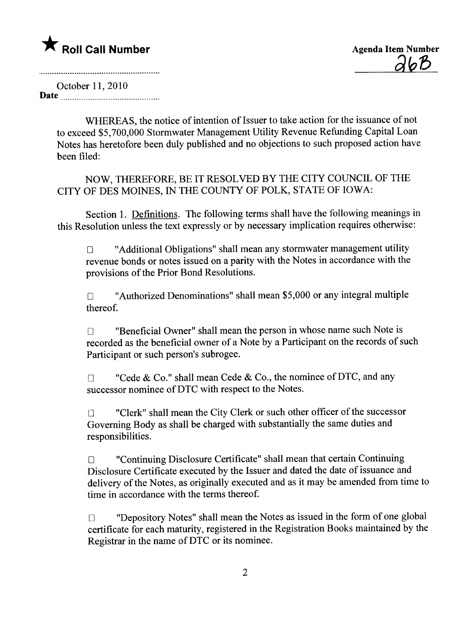$\partial b$ 

October 11, 2010 Date

WHEREAS, the notice of intention of Issuer to take action for the issuance of not to exceed \$5,700,000 Stormwater Management Utilty Revenue Refunding Capital Loan Notes has heretofore been duly published and no objections to such proposed action have been filed:

NOW, THEREFORE, BE IT RESOLVED BY THE CITY COUNCIL OF THE CITY OF DES MOINES, IN THE COUNTY OF POLK, STATE OF IOWA:

Section 1. Definitions. The following terms shall have the following meanings in this Resolution unless the text expressly or by necessary implication requires otherwise:

 $\Box$  "Additional Obligations" shall mean any stormwater management utility revenue bonds or notes issued on a parity with the Notes in accordance with the provisions of the Prior Bond Resolutions.

 $\Box$  "Authorized Denominations" shall mean \$5,000 or any integral multiple thereof.

 $\Box$  "Beneficial Owner" shall mean the person in whose name such Note is recorded as the beneficial owner of a Note by a Participant on the records of such Participant or such person's subrogee.

 $\Box$  "Cede & Co." shall mean Cede & Co., the nominee of DTC, and any successor nominee of DTC with respect to the Notes.

□ "Clerk" shall mean the City Clerk or such other officer of the successor Governing Body as shall be charged with substantially the same duties and responsibilities.

 $\Box$  "Continuing Disclosure Certificate" shall mean that certain Continuing Disclosure Certificate executed by the Issuer and dated the date of issuance and delivery of the Notes, as originally executed and as it may be amended from time to time in accordance with the terms thereof.

 $\square$  "Depository Notes" shall mean the Notes as issued in the form of one global certificate for each maturity, registered in the Registration Books maintained by the Registrar in the name of DTC or its nominee.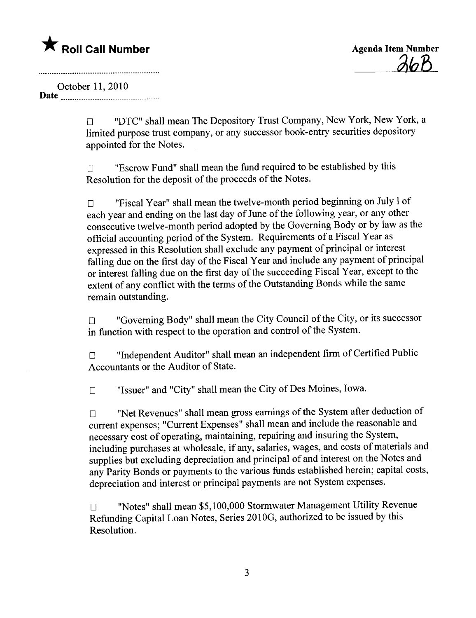<u> 26B</u>

October 11, 2010

Date

**DEC"** shall mean The Depository Trust Company, New York, New York, a limited purpose trust company, or any successor book-entry securities depository appointed for the Notes.

 $\square$  "Escrow Fund" shall mean the fund required to be established by this Resolution for the deposit of the proceeds of the Notes.

o "Fiscal Year" shall mean the twelve-month period beginning on July 1 of each year and ending on the last day of June of the following year, or any other consecutive twelve-month period adopted by the Governing Body or by law as the official accounting period of the System. Requirements of a Fiscal Year as expressed in this Resolution shall exclude any payment of principal or interest falling due on the first day of the Fiscal Year and include any payment of principal or interest fallng due on the first day of the succeeding Fiscal Year, except to the extent of any conflict with the terms of the Outstanding Bonds while the same remain outstanding.

o "Governing Body" shall mean the City Council of the City, or its successor in function with respect to the operation and control of the System.

□ "Independent Auditor" shall mean an independent firm of Certified Public Accountants or the Auditor of State.

□ "Issuer" and "City" shall mean the City of Des Moines, Iowa.

□ "Net Revenues" shall mean gross earnings of the System after deduction of current expenses; "Current Expenses" shall mean and include the reasonable and necessary cost of operating, maintaining, repairing and insuring the System, including purchases at wholesale, if any, salaries, wages, and costs of materials and supplies but excluding depreciation and principal of and interest on the Notes and any Parity Bonds or payments to the various funds established herein; capital costs, depreciation and interest or principal payments are not System expenses.

 $\square$  "Notes" shall mean \$5,100,000 Stormwater Management Utility Revenue Refunding Capital Loan Notes, Series 2010G, authorized to be issued by this Resolution.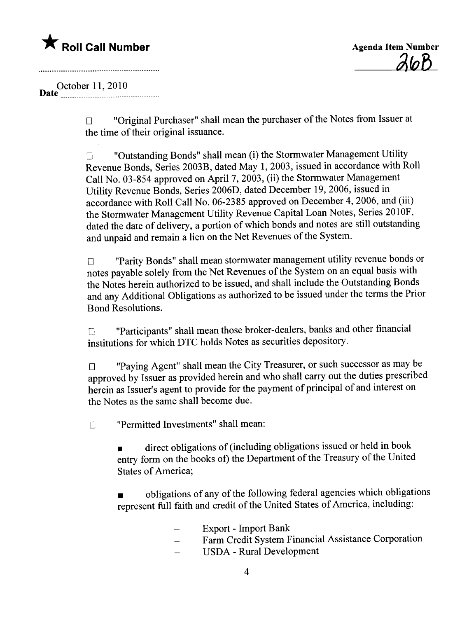



October 11,2010 Date \_ \_\_\_\_\_\_\_\_\_\_ \_ \_ \_\_\_\_\_\_\_\_\_\_\_\_ \_ \_ \_ \_ \_\_\_\_\_\_\_ \_ \_\_ \_ \_\_\_\_

> $\Box$  "Original Purchaser" shall mean the purchaser of the Notes from Issuer at the time of their original issuance.

 $\Box$  "Outstanding Bonds" shall mean (i) the Stormwater Management Utility Revenue Bonds, Series 2003B, dated May 1,2003, issued in accordance with Roll Call No. 03-854 approved on April 7, 2003, (ii) the Stormwater Management Utilty Revenue Bonds, Series 2006D, dated December 19,2006, issued in accordance with Roll Call No. 06-2385 approved on December 4,2006, and (iii) the Stormwater Management Utilty Revenue Capital Loan Notes, Series 2010F, dated the date of delivery, a portion of which bonds and notes are stil outstanding and unpaid and remain a lien on the Net Revenues of the System.

□ "Parity Bonds" shall mean stormwater management utility revenue bonds or notes payable solely from the Net Revenues of the System on an equal basis with the Notes herein authorized to be issued, and shall include the Outstanding Bonds and any Additional Obligations as authorized to be issued under the terms the Prior Bond Resolutions.

o "Participants" shall mean those broker-dealers, banks and other financial institutions for which DTC holds Notes as securities depository.

T "Paying Agent" shall mean the City Treasurer, or such successor as may be approved by Issuer as provided herein and who shall carry out the duties prescribed herein as Issuer's agent to provide for the payment of principal of and interest on the Notes as the same shall become due.

**T** "Permitted Investments" shall mean:

. direct obligations of (including obligations issued or held in book entry form on the books of) the Department of the Treasury of the United States of America;

. obligations of any of the following federal agencies which obligations represent full faith and credit of the United States of America, including:

- Export Import Bank  $\overline{\phantom{a}}$
- Farm Credit System Financial Assistance Corporation  $\equiv$
- USDA Rural Development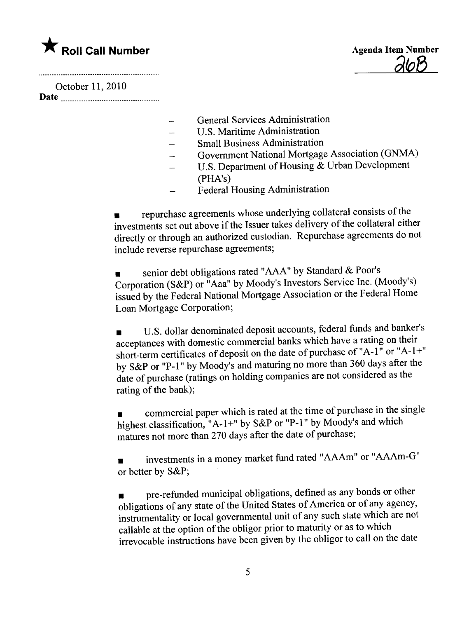$\partial$ 

October 11,2010 Date

- General Services Administration
- U.S. Maritime Administration

 $\overline{\phantom{0}}$ 

- Small Business Administration
- Government National Mortgage Association (GNMA)  $\overline{\phantom{a}}$
- U.S. Department of Housing & Urban Development  $\overline{\phantom{a}}$ (PHA's)
- Federal Housing Administration

. repurchase agreements whose underlying collateral consists of the investments set out above if the Issuer takes delivery of the collateral either directly or through an authorized custodian. Repurchase agreements do not include reverse repurchase agreements;

. senior debt obligations rated "AA" by Standard & Poor's Corporation (S&P) or "Aaa" by Moody's Investors Service Inc. (Moody's) issued by the Federal National Mortgage Association or the Federal Home Loan Mortgage Corporation;

. U.S. dollar denominated deposit accounts, federal funds and banker's acceptances with domestic commercial banks which have a rating on their short-term certificates of deposit on the date of purchase of "A- $1$ " or "A- $1$ +" by S&P or "P-1" by Moody's and maturing no more than 360 days after the date of purchase (ratings on holding companies are not considered as the rating of the bank);

. commercial paper which is rated at the time of purchase in the single highest classification, "A-1+" by S&P or "P-1" by Moody's and which matures not more than 270 days after the date of purchase;

. investments in a money market fund rated "AAAm" or "AAm-G" or better by S&P;

. pre-refunded municipal obligations, defined as any bonds or other obligations of any state of the United States of America or of any agency, instrumentality or local governmental unit of any such state which are not callable at the option of the obligor prior to maturity or as to which irrevocable instructions have been given by the obligor to call on the date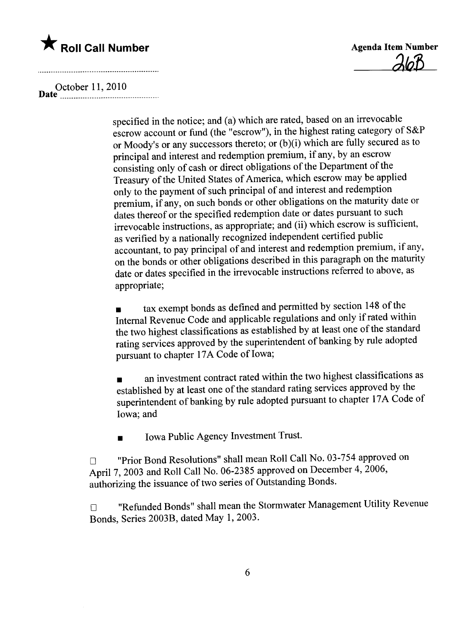

**Agenda Item Number** 

D October 11,2010 ate \_\_\_\_\_\_ \_\_\_\_\_\_ \_ \_\_ \_ \_ \_\_\_\_\_\_\_\_\_\_\_\_\_\_ \_ \_ \_ \_\_ \_\_ \_ \_ \_ \_\_\_

specified in the notice; and (a) which are rated, based on an irrevocable escrow account or fund (the "escrow"), in the highest rating category of S&P or Moody's or any successors thereto; or (b)(i) which are fully secured as to principal and interest and redemption premium, if any, by an escrow consisting only of cash or direct obligations of the Department of the Treasury of the United States of America, which escrow may be applied only to the payment of such principal of and interest and redemption premium, if any, on such bonds or other obligations on the maturity date or dates thereof or the specified redemption date or dates pursuant to such irrevocable instructions, as appropriate; and (ii) which escrow is sufficient, as verified by a nationally recognized independent certified public accountant, to pay principal of and interest and redemption premium, if any, on the bonds or other obligations described in this paragraph on the maturity date or dates specified in the irrevocable instructions referred to above, as appropriate;

. tax exempt bonds as defined and permitted by section 148 of the Internal Revenue Code and applicable regulations and only if rated within the two highest classifications as established by at least one of the standard rating services approved by the superintendent of banking by rule adopted pursuant to chapter 17A Code of Iowa;

. an investment contract rated within the two highest classifications as established by at least one of the standard rating services approved by the superintendent of banking by rule adopted pursuant to chapter 17A Code of Iowa; and

. Iowa Public Agency Investment Trust.

□ "Prior Bond Resolutions" shall mean Roll Call No. 03-754 approved on April 7, 2003 and Roll Call No. 06-2385 approved on December 4, 2006, authorizing the issuance of two series of Outstanding Bonds.

o "Refunded Bonds" shall mean the Stormwater Management Utilty Revenue Bonds, Series 2003B, dated May 1, 2003.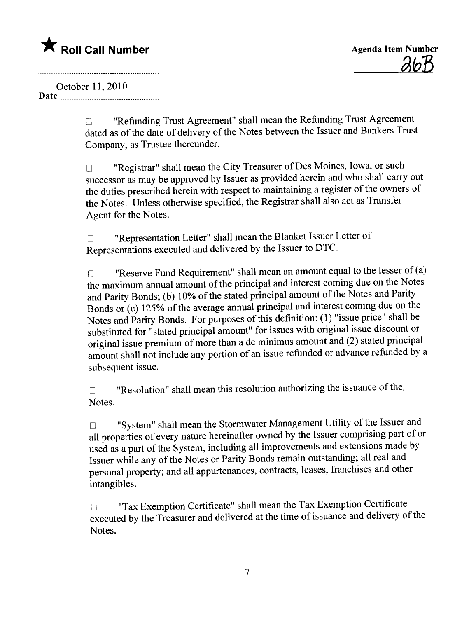October 11,2010 Date

□ "Refunding Trust Agreement" shall mean the Refunding Trust Agreement dated as of the date of delivery of the Notes between the Issuer and Bankers Trust Company, as Trustee thereunder.

o "Registrar" shall mean the City Treasurer of Des Moines, Iowa, or such successor as may be approved by Issuer as provided herein and who shall carry out the duties prescribed herein with respect to maintaining a register of the owners of the Notes. Unless otherwise specified, the Registrar shall also act as Transfer Agent for the Notes.

o "Representation Letter" shall mean the Blanket Issuer Letter of Representations executed and delivered by the Issuer to DTC.

**Co.** "Reserve Fund Requirement" shall mean an amount equal to the lesser of  $(a)$ the maximum annual amount of the principal and interest coming due on the Notes and Parity Bonds; (b) 10% of the stated principal amount of the Notes and Parity Bonds or (c) 125% of the average annual principal and interest coming due on the Notes and Parity Bonds. For purposes of this definition: (1) "issue price" shall be substituted for "stated principal amount" for issues with original issue discount or original issue premium of more than a de minimus amount and (2) stated principal amount shall not include any portion of an issue refunded or advance refunded by a subsequent issue.

 $\Box$  "Resolution" shall mean this resolution authorizing the issuance of the. Notes.

 $\Box$  system shall mean the  $\circ$ "System" shall mean the Stormwater Management Utility of the Issuer and all properties of every nature hereinafter owned by the Issuer comprising part of or used as a part of the System, including all improvements and extensions made by Issuer while any of the Notes or Parity Bonds remain outstanding; all real and personal property; and all appurtenances, contracts, leases, franchises and other intangibles.

o "Tax Exemption Certificate" shall mean the Tax Exemption Certificate executed by the Treasurer and delivered at the time of issuance and delivery of the Notes.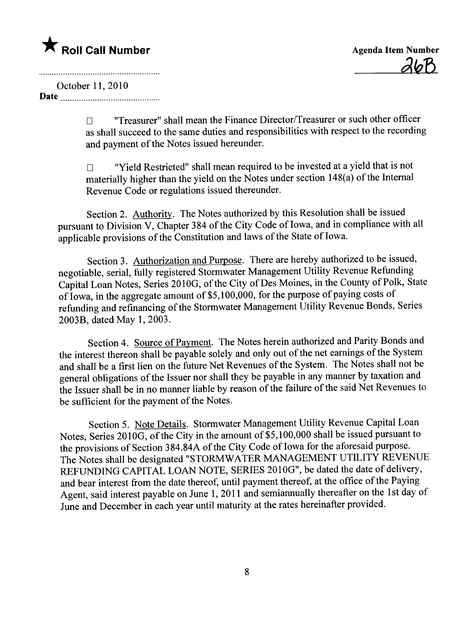\* Roll Call Number<br>
October 11, 2010

October 11,2010

Date

 $\square$  "Treasurer" shall mean the Finance Director/Treasurer or such other officer as shall succeed to the same duties and responsibilties with respect to the recording and payment of the Notes issued hereunder.

 $\Box$  "Yield Restricted" shall mean required to be invested at a yield that is not materially higher than the yield on the Notes under section 148(a) of the Internal Revenue Code or regulations issued thereunder.

Section 2. Authority. The Notes authorized by this Resolution shall be issued pursuant to Division V, Chapter 384 of the City Code of Iowa, and in compliance with all applicable provisions of the Constitution and laws of the State of Iowa.

Section 3. Authorization and Purpose. There are hereby authorized to be issued, negotiable, serial, fully registered Stormwater Management Utilty Revenue Refunding Capital Loan Notes, Series 2010G, of the City of Des Moines, in the County of Polk, State of Iowa, in the aggregate amount of \$5,100,000, for the purpose of paying costs of refunding and refinancing of the Stormwater Management Utilty Revenue Bonds, Series 2003B, dated May 1, 2003.

Section 4. Source of Payment. The Notes herein authorized and Parity Bonds and the interest thereon shall be payable solely and only out of the net earnings of the System and shall be a first lien on the future Net Revenues of the System. The Notes shall not be general obligations of the Issuer nor shall they be payable in any manner by taxation and the Issuer shall be in no manner liable by reason of the failure of the said Net Revenues to be sufficient for the payment of the Notes.

Section 5. Note Details. Stormwater Management Utility Revenue Capital Loan Notes, Series 2010G, of the City in the amount of  $\bar{$}5,100,000$  shall be issued pursuant to the provisions of Section 384.84A of the City Code of Iowa for the aforesaid purpose. The Notes shall be designated "STORMWATER MANAGEMENT UTILITY REVENUE REFUNDING CAPITAL LOAN NOTE, SERIES 2010G", be dated the date of delivery, and bear interest from the date thereof, until payment thereof, at the office of the Paying Agent, said interest payable on June 1, 2011 and semiannually thereafter on the 1st day of June and December in each year until maturity at the rates hereinafter provided.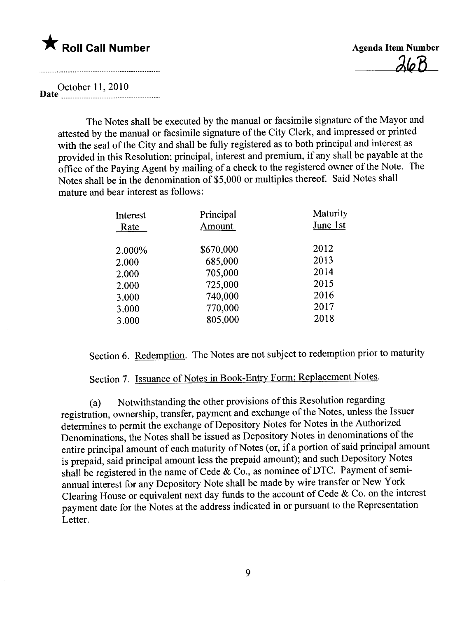#### $\bigstar$  Roll Call Number

**Agenda Item Number**  $26B$ 

D October 11, 2010 ate \_\_\_\_\_\_ \_ \_\_\_\_\_ \_ \_ \_\_ \_ \_ \_ \_ \_ \_ \_ \_ \_ \_ \_ \_\_\_ \_ \_ \_ \_ \_ \_\_\_\_ \_ \_\_\_.

The Notes shall be executed by the manual or facsimile signature of the Mayor and attested by the manual or facsimile signature of the City Clerk, and impressed or printed with the seal of the City and shall be fully registered as to both principal and interest as provided in this Resolution; principal, interest and premium, if any shall be payable at the office of the Paying Agent by mailng of a check to the registered owner of the Note. The Notes shall be in the denomination of \$5,000 or multiples thereof. Said Notes shall mature and bear interest as follows:

| Interest | Principal | Maturity |
|----------|-----------|----------|
| Rate     | Amount    | June 1st |
| 2.000%   | \$670,000 | 2012     |
| 2.000    | 685,000   | 2013     |
| 2.000    | 705,000   | 2014     |
| 2.000    | 725,000   | 2015     |
| 3.000    | 740,000   | 2016     |
| 3.000    | 770,000   | 2017     |
| 3.000    | 805,000   | 2018     |
|          |           |          |

Section 6. Redemption. The Notes are not subject to redemption prior to maturity

Section 7. Issuance of Notes in Book-Entry Form; Replacement Notes.

 $\mathcal{C}$ Notwithstanding the other provisions of this Resolution regarding registration, ownership, transfer, payment and exchange of the Notes, unless the Issuer determines to permit the exchange of Depository Notes for Notes in the Authorized Denominations, the Notes shall be issued as Depository Notes in denominations of the entire principal amount of each maturity of Notes (or, if a portion of said principal amount is prepaid, said principal amount less the prepaid amount); and such Depository Notes shall be registered in the name of Cede  $\&$  Co., as nominee of DTC. Payment of semiannual interest for any Depository Note shall be made by wire transfer or New York Clearing House or equivalent next day funds to the account of Cede & Co. on the interest payment date for the Notes at the address indicated in or pursuant to the Representation Letter.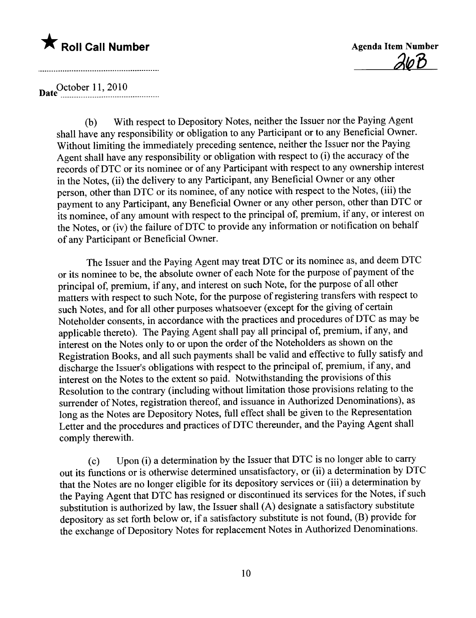



Date<sup>0ctober</sup> 11, 2010

 $(0)$  With respect to Depository Notes, neither the Issuer nor the Paying Agent shall have any responsibilty or obligation to any Participant or to any Beneficial Owner. Without limiting the immediately preceding sentence, neither the Issuer nor the Paying Agent shall have any responsibilty or obligation with respect to (i) the accuracy of the records ofDTC or its nominee or of any Participant with respect to any ownership interest in the Notes, (ii) the delivery to any Participant, any Beneficial Owner or any other person, other than DTC or its nominee, of any notice with respect to the Notes, (iii) the payment to any Participant, any Beneficial Owner or any other person, other than DTC or its nominee, of any amount with respect to the principal of, premium, if any, or interest on the Notes, or (iv) the failure of DTC to provide any information or notification on behalf of any Participant or Beneficial Owner.

The Issuer and the Paying Agent may treat DTC or its nominee as, and deem DTC or its nominee to be, the absolute owner of each Note for the purpose of payment of the principal of, premium, if any, and interest on such Note, for the purpose of all other matters with respect to such Note, for the purpose of registering transfers with respect to such Notes, and for all other purposes whatsoever (except for the giving of certain Noteholder consents, in accordance with the practices and procedures of DTC as may be applicable thereto). The Paying Agent shall pay all principal of, premium, if any, and interest on the Notes only to or upon the order of the Noteholders as shown on the Registration Books, and all such payments shall be valid and effective to fully satisfy and discharge the Issuer's obligations with respect to the principal of, premium, if any, and interest on the Notes to the extent so paid. Notwithstanding the provisions of this Resolution to the contrary (including without limitation those provisions relating to the surrender of Notes, registration thereof, and issuance in Authorized Denominations), as long as the Notes are Depository Notes, full effect shall be given to the Representation Letter and the procedures and practices of DTC thereunder, and the Paying Agent shall comply therewith.

(c) Upon (i) a determination by the Issuer that DTC is no longer able to carr out its functions or is otherwise determined unsatisfactory, or (ii) a determination by DTC that the Notes are no longer eligible for its depository services or (iii) a determination by the Paying Agent that DTC has resigned or discontinued its services for the Notes, if such substitution is authorized by law, the Issuer shall (A) designate a satisfactory substitute depository as set forth below or, if a satisfactory substitute is not found, (B) provide for the exchange of Depository Notes for replacement Notes in Authorized Denominations.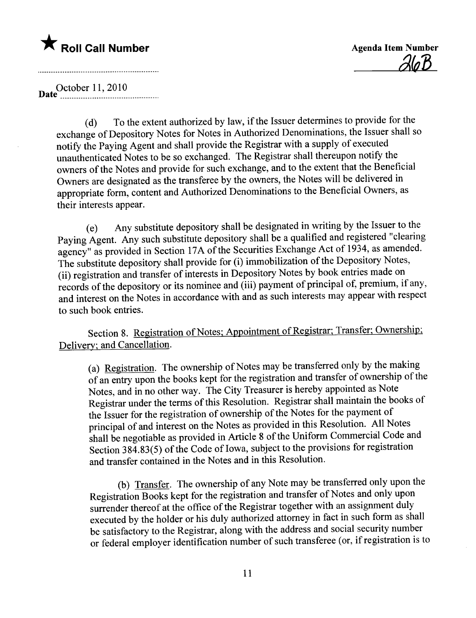$\partial h$  $B$ 

DateOctober 11, 2010 - - - - - - - - - - - - - - ~ - - - - - - - - - - - - - - - - - - - - - - - - - - - \_.

exchange of Depository Notes for Notes in Authorized Denominations, the Issuer shall so To the extent authorized by law, if the Issuer determines to provide for the notify the Paying Agent and shall provide the Registrar with a supply of executed unauthenticated Notes to be so exchanged. The Registrar shall thereupon notify the owners of the Notes and provide for such exchange, and to the extent that the Beneficial Owners are designated as the transferee by the owners, the Notes will be delivered in appropriate form, content and Authorized Denominations to the Beneficial Owners, as their interests appear.

( e) Any substitute depository shall be designated in writing by the Issuer to the Paying Agent. Any such substitute depository shall be a qualified and registered "clearing agency" as provided in Section 17A of the Securities Exchange Act of 1934, as amended. The substitute depository shall provide for (i) immobilzation of the Depository Notes, (ii) registration and transfer of interests in Depository Notes by book entries made on records of the depository or its nominee and (iii) payment of principal of, premium, if any, and interest on the Notes in accordance with and as such interests may appear with respect to such book entries.

Section 8. Registration of Notes; Appointment of Registrar; Transfer; Ownership; Delivery; and Cancellation.

of an entry upon the books kept for the registration and transfer of ownership of the (a) Registration. The ownership of Notes may be transferred only by the making Notes, and in no other way. The City Treasurer is hereby appointed as Note Registrar under the terms of this Resolution. Registrar shall maintain the books of the Issuer for the registration of ownership of the Notes for the payment of principal of and interest on the Notes as provided in this Resolution. All Notes shall be negotiable as provided in Aricle 8 of the Uniform Commerciål Code and Section 384.83(5) of the Code of Iowa, subject to the provisions for registration and transfer contained in the Notes and in this Resolution.

(b) Transfer. The ownership of any Note may be transferred only upon the Registration Books kept for the registration and transfer of Notes and only upon surrender thereof at the office of the Registrar together with an assignment duly executed by the holder or his duly authorized attorney in fact in such form as shall be satisfactory to the Registrar, along with the address and social security number or federal employer identification number of such transferee (or, if registration is to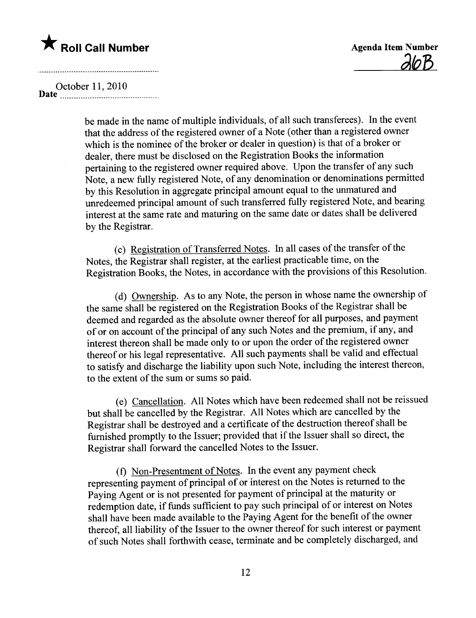$\partial$ lo $B$ 

October 11,2010 Date \_ \_ \_\_\_\_ \_\_ \_ \_\_\_ \_ \_ \_\_\_\_\_\_\_\_ \_ \_ \_\_\_\_\_\_\_ \_ \_ \_\_\_ \_ \_\_\_\_ \_ \_\_

be made in the name of multiple individuals, of all such transferees). In the event that the address of the registered owner of a Note (other than a registered owner which is the nominee of the broker or dealer in question) is that of a broker or dealer, there must be disclosed on the Registration Books the information pertaining to the registered owner required above. Upon the transfer of any such Note, a new fully registered Note, of any denomination or denominations permitted by this Resolution in aggregate principal amount equal to the unmatured and unredeemed principal amount of such transferred fully registered Note, and bearing interest at the same rate and maturing on the same date or dates shall be delivered by the Registrar.

(c) Registration of Transferred Notes. In all cases of the transfer of the Notes, the Registrar shall register, at the earliest practicable time, on the Registration Books, the Notes, in accordance with the provisions of this Resolution.

(d) Ownership. As to any Note, the person in whose name the ownership of the same shall be registered on the Registration Books of the Registrar shall be deemed and regarded as the absolute owner thereof for all purposes, and payment of or on account of the principal of any such Notes and the premium, if any, and interest thereon shall be made only to or upon the order of the registered owner thereof or his legal representative. All such payments shall be valid and effectual to satisfy and discharge the liabilty upon such Note, including the interest thereon, to the extent of the sum or sums so paid.

(e) Cancellation. All Notes which have been redeemed shall not be reissued but shall be cancelled by the Registrar. All Notes which are cancelled by the Registrar shall be destroyed and a certificate of the destruction thereof shall be furnished promptly to the Issuer; provided that if the Issuer shall so direct, the Registrar shall forward the cancelled Notes to the Issuer.

(f) Non-Presentment of Notes. In the event any payment check representing payment of principal of or interest on the Notes is returned to the Paying Agent or is not presented for payment of principal at the maturity or redemption date, if funds sufficient to pay such principal of or interest on Notes shall have been made available to the Paying Agent for the benefit of the owner thereof, all liabilty of the Issuer to the owner thereof for such interest or payment of such Notes shall forthwith cease, terminate and be completely discharged, and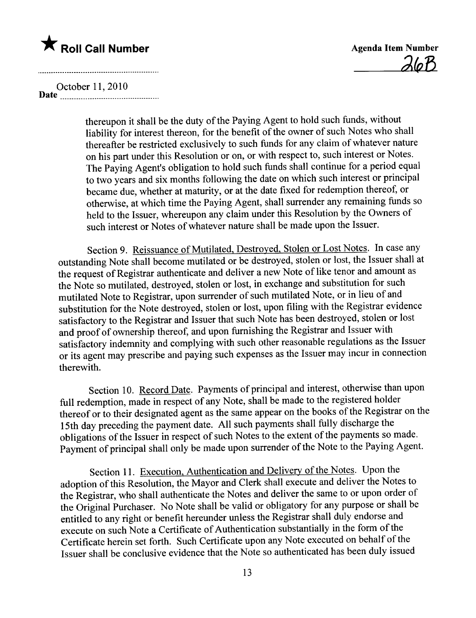$\lambda$ lo $B$ 

October 11,2010 Date \_\_\_ \_ \_\_ \_ \_\_\_ \_ \_ \_\_\_\_\_\_\_\_ \_ \_ \_ \_ \_ \_ \_... \_\_\_ \_ \_ \_\_\_\_\_\_ \_ \_.

and the company of the company of the company of the company of the company of the company of the company of th

thereupon it shall be the duty of the Paying Agent to hold such funds, without liabilty for interest thereon, for the benefit of the owner of such Notes who shall thereafter be restricted exclusively to such funds for any claim of whatever nature on his part under this Resolution or on, or with respect to, such interest or Notes. The Paying Agent's obligation to hold such funds shall continue for a period equal to two years and six months following the date on which such interest or principal became due, whether at maturity, or at the date fixed for redemption thereof, or otherwise, at which time the Paying Agent, shall surrender any remaining funds so held to the Issuer, whereupon any claim under this Resolution by the Owners of such interest or Notes of whatever nature shall be made upon the Issuer.

Section 9. Reissuance of Mutilated, Destroyed, Stolen or Lost Notes. In case any outstanding Note shall become mutilated or be destroyed, stolen or lost, the Issuer shall at the request of Registrar authenticate and deliver a new Note of like tenor and amount as the Note so mutilated, destroyed, stolen or lost, in exchange and substitution for such mutilated Note to Registrar, upon surrender of such mutilated Note, or in lieu of and substitution for the Note destroyed, stolen or lost, upon filing with the Registrar evidence satisfactory to the Registrar and Issuer that such Note has been destroyed, stolen or lost and proof of ownership thereof, and upon furnishing the Registrar and Issuer with satisfactory indemnity and complying with such other reasonable regulations as the Issuer or its agent may prescribe and paying such expenses as the Issuer may incur in connection therewith.

Section 10. Record Date. Payments of principal and interest, otherwise than upon full redemption, made in respect of any Note, shall be made to the registered holder thereof or to their designated agent as the same appear on the books of the Registrar on the 15th day preceding the payment date. All such payments shall fully discharge the obligations of the Issuer in respect of such Notes to the extent of the payments so made. Payment of principal shall only be made upon surrender of the Note to the Paying Agent.

Section 11. Execution, Authentication and Delivery of the Notes. Upon the adoption of this Resolution, the Mayor and Clerk shall execute and deliver the Notes to the Registrar, who shall authenticate the Notes and deliver the same to or upon order of the Original Purchaser. No Note shall be valid or obligatory for any purpose or shall be entitled to any right or benefit hereunder unless the Registrar shall duly endorse and execute on such Note a Certificate of Authentication substantially in the form of the Certificate herein set forth. Such Certificate upon any Note executed on behalf of the Issuer shall be conclusive evidence that the Note so authenticated has been duly issued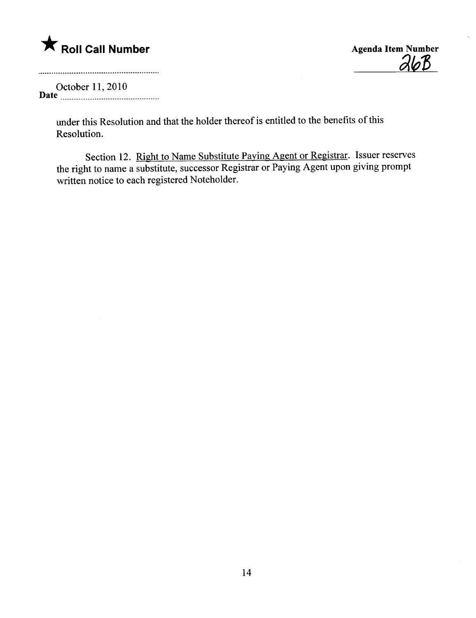$26B$ 

October 11,2010 Date \_\_\_\_\_\_ \_ \_\_ \_ \_\_\_ \_ \_... \_\_\_\_\_\_\_\_\_ \_. \_ \_ \_ \_ \_\_\_\_\_\_ \_ \_ \_ \_\_

> under this Resolution and that the holder thereof is entitled to the benefits of this Resolution.

Section 12. Right to Name Substitute Paying Agent or Registrar. Issuer reserves the right to name a substitute, successor Registrar or Paying Agent upon giving prompt written notice to each registered Noteholder.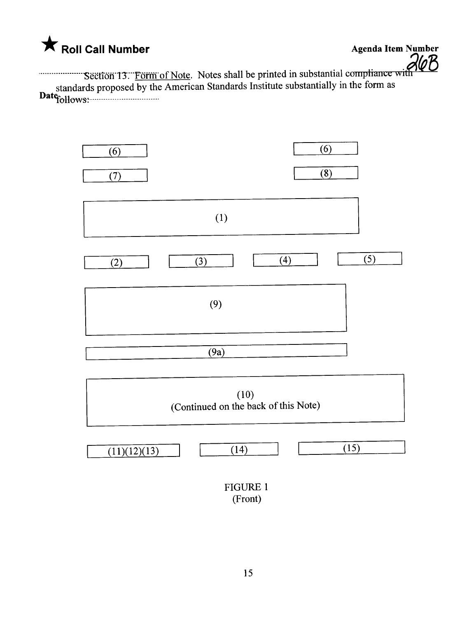

...n..........Sëëtîöii"TnFötïï of Note. Notes shall be printed in substantial cumpliance wi ¡Rfp 13 standards proposed by the American Standards Institute substantially in the form as<br>Date<sub>rallows</sub>

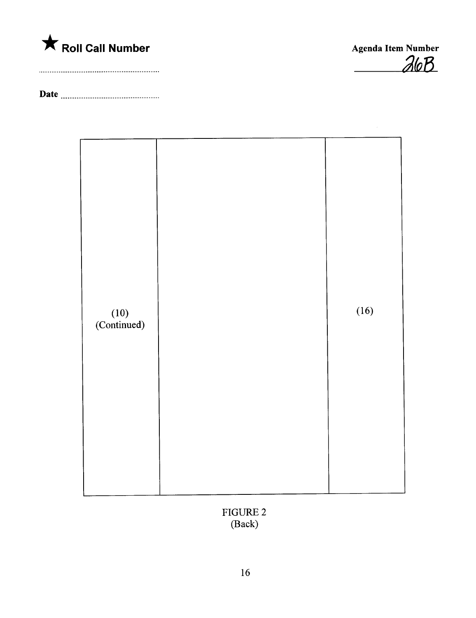



Date



FIGURE 2 (Back)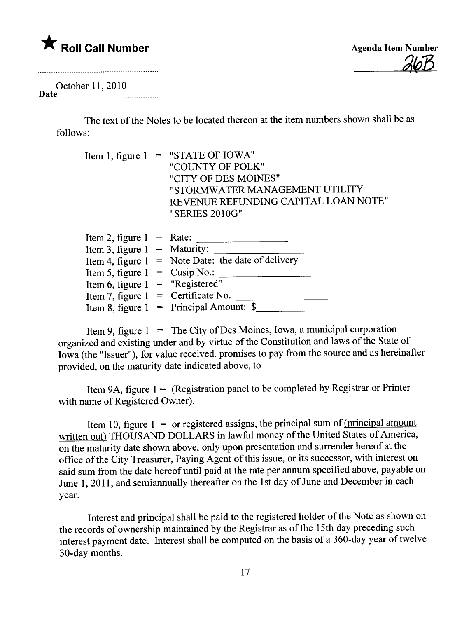

Agenda Item Number <u>alop</u>

October 11,2010 Date \_ \_ \_ \_ \_\_\_ \_ \_\_uu\_\_\_\_ \_\_\_\_\_\_\_\_\_\_\_\_\_\_\_ \_ \_ \_ \_ \_\_\_ \_ \_\_\_

> The text of the Notes to be located thereon at the item numbers shown shall be as follows:

Item 1, figure  $1 =$  "STATE OF IOWA" "COUNTY OF POLK" "CITY OF DES MOINES" "STORMWATER MANAGEMENT UTILITY REVENUE REFUNDING CAPITAL LOAN NOTE" "SERIES 2010G"

| Item 2, figure $1 =$ Rate:            |                                                      |
|---------------------------------------|------------------------------------------------------|
| Item 3, figure $1 =$ Maturity:        |                                                      |
|                                       | Item 4, figure $1 =$ Note Date: the date of delivery |
| Item 5, figure $1 = \text{Cusip No.}$ |                                                      |
| Item 6, figure $1 =$ "Registered"     |                                                      |
| Item 7, figure $1 =$ Certificate No.  |                                                      |
|                                       | Item 8, figure $1 =$ Principal Amount: \$            |

Item 9, figure  $1 =$  The City of Des Moines, Iowa, a municipal corporation organized and existing under and by virtue of the Constitution and laws of the State of Iowa (the "Issuer"), for value received, promises to pay from the source and as hereinafter provided, on the maturity date indicated above, to

Item 9A, figure  $1 =$  (Registration panel to be completed by Registrar or Printer with name of Registered Owner).

Item 10, figure  $1 =$  or registered assigns, the principal sum of (principal amount written out) THOUSAND DOLLARS in lawful money of the United States of America, on the maturity date shown above, only upon presentation and surrender hereof at the office of the City Treasurer, Paying Agent of this issue, or its successor, with interest on said sum from the date hereof until paid at the rate per annum specified above, payable on June 1,2011, and semiannually thereafter on the 1st day of June and December in each year.

Interest and principal shall be paid to the registered holder of the Note as shown on the records of ownership maintained by the Registrar as of the 15th day preceding such interest payment date. Interest shall be computed on the basis of a 360-day year of twelve 30-day months.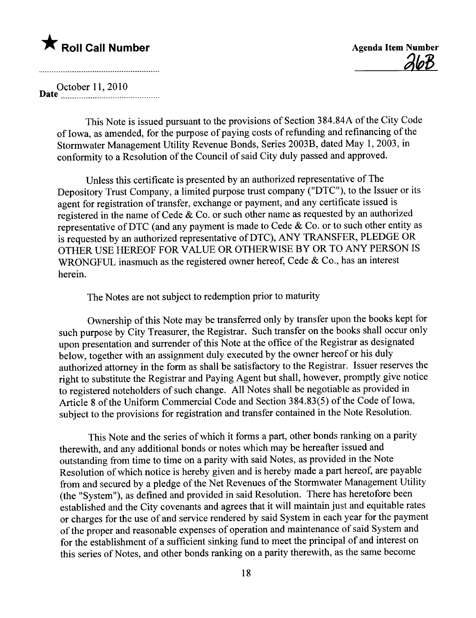<u>got</u>

D October 11,2010 ate \_\_\_\_\_ \_\_ \_. \_. \_uu\_\_ \_\_\_\_\_ \_\_\_u\_\_\_\_\_\_\_\_ \_ \_ \_ \_\_\_\_\_

This Note is issued pursuant to the provisions of Section 384.84A of the City Code of Iowa, as amended, for the purpose of paying costs of refunding and refinancing of the Stormwater Management Utilty Revenue Bonds, Series 2003B, dated May 1,2003, in conformity to a Resolution of the Council of said City duly passed and approved.

Unless this certificate is presented by an authorized representative of The Depository Trust Company, a limited purpose trust company ("DTC"), to the Issuer or its agent for registration of transfer, exchange or payment, and any certificate issued is registered in the name of Cede & Co. or such other name as requested by an authorized representative of DTC (and any payment is made to Cede  $\&$  Co. or to such other entity as is requested by an authorized representative of DTC), ANY TRANSFER, PLEDGE OR OTHER USE HEREOF FOR VALUE OR OTHERWISE BY OR TO ANY PERSON IS WRONGFUL inasmuch as the registered owner hereof, Cede & Co., has an interest herein.

The Notes are not subject to redemption prior to maturity

Ownership of this Note may be transferred only by transfer upon the books kept for such purpose by City Treasurer, the Registrar. Such transfer on the books shall occur only upon presentation and surrender of this Note at the office of the Registrar as designated below, together with an assignment duly executed by the owner hereof or his duly authorized attorney in the form as shall be satisfactory to the Registrar. Issuer reserves the right to substitute the Registrar and Paying Agent but shall, however, promptly give notice to registered noteholders of such change. All Notes shall be negotiable as provided in Article 8 of the Uniform Commercial Code and Section  $384.83(5)$  of the Code of Iowa, subject to the provisions for registration and transfer contained in the Note Resolution.

This Note and the series of which it forms a part, other bonds ranking on a parity therewith, and any additional bonds or notes which may be hereafter issued and outstanding from time to time on a parity with said Notes, as provided in the Note Resolution of which notice is hereby given and is hereby made a part hereof, are payable from and secured by a pledge of the Net Revenues of the Stormwater Management Utilty (the "System"), as defined and provided in said Resolution. There has heretofore been established and the City covenants and agrees that it will maintain just and equitable rates or charges for the use of and service rendered by said System in each year for the payment of the proper and reasonable expenses of operation and maintenance of said System and for the establishment of a sufficient sinking fund to meet the principal of and interest on this series of Notes, and other bonds ranking on a parity therewith, as the same become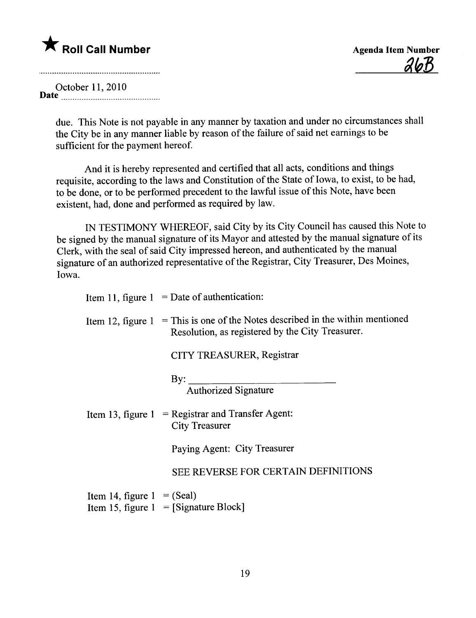$26B$ 

October 11,2010 Date -------------------------\_.-----------------

> due. This Note is not payable in any manner by taxation and under no circumstances shall the City be in any manner liable by reason of the failure of said net earnings to be sufficient for the payment hereof.

And it is hereby represented and certified that all acts, conditions and things requisite, according to the laws and Constitution of the State of Iowa, to exist, to be had, to be done, or to be performed precedent to the lawful issue of this Note, have been existent, had, done and performed as required by law.

IN TESTIMONY WHEREOF, said City by its City Council has caused this Note to be signed by the manual signature of its Mayor and attested by the manual signature of its Clerk, with the seal of said City impressed hereon, and authenticated by the manual signature of an authorized representative of the Registrar, City Treasurer, Des Moines, Iowa.

|                              | Item 11, figure $1 =$ Date of authentication:                                                                    |  |
|------------------------------|------------------------------------------------------------------------------------------------------------------|--|
| Item 12, figure $1$          | = This is one of the Notes described in the within mentioned<br>Resolution, as registered by the City Treasurer. |  |
|                              | CITY TREASURER, Registrar                                                                                        |  |
|                              | By: $\qquad \qquad \qquad$                                                                                       |  |
|                              | <b>Authorized Signature</b>                                                                                      |  |
|                              | Item 13, figure $1 = \text{Register}$ and Transfer Agent:<br><b>City Treasurer</b>                               |  |
|                              | Paying Agent: City Treasurer                                                                                     |  |
|                              | SEE REVERSE FOR CERTAIN DEFINITIONS                                                                              |  |
| Item 14, figure $1 = (Scal)$ | Item 15, figure $1 =$ [Signature Block]                                                                          |  |